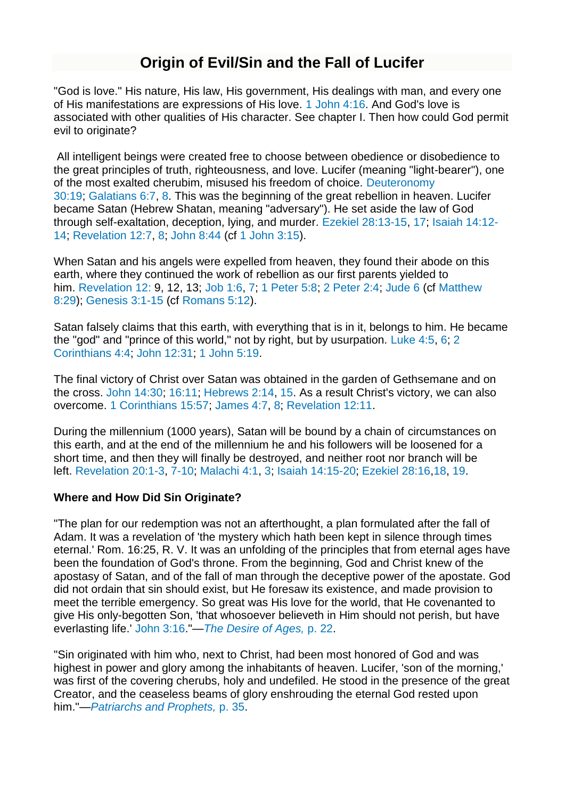# **Origin of Evil/Sin and the Fall of Lucifer**

"God is love." His nature, His law, His government, His dealings with man, and every one of His manifestations are expressions of His love. 1 John 4:16. And God's love is associated with other qualities of His character. See chapter I. Then how could God permit evil to originate?

All intelligent beings were created free to choose between obedience or disobedience to the great principles of truth, righteousness, and love. Lucifer (meaning "light-bearer"), one of the most exalted cherubim, misused his freedom of choice. Deuteronomy 30:19; Galatians 6:7, 8. This was the beginning of the great rebellion in heaven. Lucifer became Satan (Hebrew Shatan, meaning "adversary"). He set aside the law of God through self-exaltation, deception, lying, and murder. Ezekiel 28:13-15, 17; Isaiah 14:12- 14; Revelation 12:7, 8; John 8:44 (cf 1 John 3:15).

When Satan and his angels were expelled from heaven, they found their abode on this earth, where they continued the work of rebellion as our first parents yielded to him. Revelation 12: 9, 12, 13; Job 1:6, 7; 1 Peter 5:8; 2 Peter 2:4; Jude 6 (cf Matthew 8:29); Genesis 3:1-15 (cf Romans 5:12).

Satan falsely claims that this earth, with everything that is in it, belongs to him. He became the "god" and "prince of this world," not by right, but by usurpation. Luke 4:5, 6; 2 Corinthians 4:4; John 12:31; 1 John 5:19.

The final victory of Christ over Satan was obtained in the garden of Gethsemane and on the cross. John 14:30; 16:11; Hebrews 2:14, 15. As a result Christ's victory, we can also overcome. 1 Corinthians 15:57; James 4:7, 8; Revelation 12:11.

During the millennium (1000 years), Satan will be bound by a chain of circumstances on this earth, and at the end of the millennium he and his followers will be loosened for a short time, and then they will finally be destroyed, and neither root nor branch will be left. Revelation 20:1-3, 7-10; Malachi 4:1, 3; Isaiah 14:15-20; Ezekiel 28:16,18, 19.

#### **Where and How Did Sin Originate?**

"The plan for our redemption was not an afterthought, a plan formulated after the fall of Adam. It was a revelation of 'the mystery which hath been kept in silence through times eternal.' Rom. 16:25, R. V. It was an unfolding of the principles that from eternal ages have been the foundation of God's throne. From the beginning, God and Christ knew of the apostasy of Satan, and of the fall of man through the deceptive power of the apostate. God did not ordain that sin should exist, but He foresaw its existence, and made provision to meet the terrible emergency. So great was His love for the world, that He covenanted to give His only-begotten Son, 'that whosoever believeth in Him should not perish, but have everlasting life.' John 3:16."—*The Desire of Ages,* p. 22.

"Sin originated with him who, next to Christ, had been most honored of God and was highest in power and glory among the inhabitants of heaven. Lucifer, 'son of the morning,' was first of the covering cherubs, holy and undefiled. He stood in the presence of the great Creator, and the ceaseless beams of glory enshrouding the eternal God rested upon him."—*Patriarchs and Prophets,* p. 35.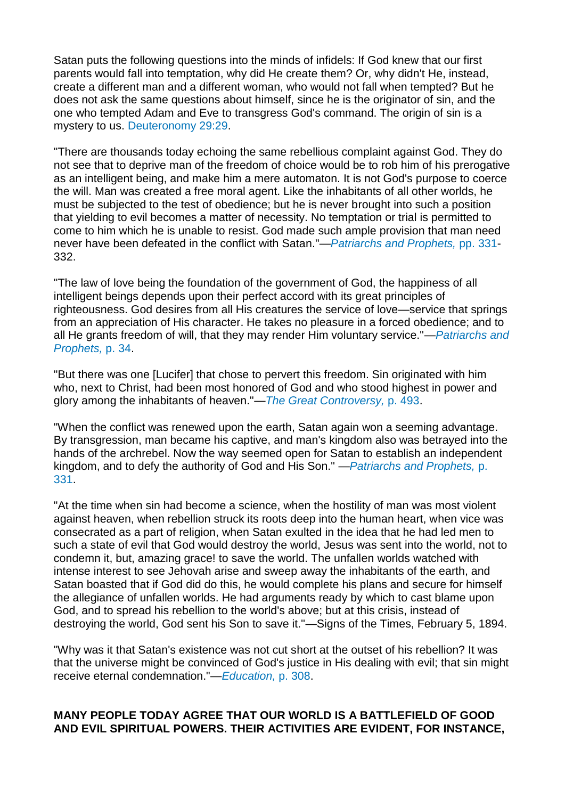Satan puts the following questions into the minds of infidels: If God knew that our first parents would fall into temptation, why did He create them? Or, why didn't He, instead, create a different man and a different woman, who would not fall when tempted? But he does not ask the same questions about himself, since he is the originator of sin, and the one who tempted Adam and Eve to transgress God's command. The origin of sin is a mystery to us. Deuteronomy 29:29.

"There are thousands today echoing the same rebellious complaint against God. They do not see that to deprive man of the freedom of choice would be to rob him of his prerogative as an intelligent being, and make him a mere automaton. It is not God's purpose to coerce the will. Man was created a free moral agent. Like the inhabitants of all other worlds, he must be subjected to the test of obedience; but he is never brought into such a position that yielding to evil becomes a matter of necessity. No temptation or trial is permitted to come to him which he is unable to resist. God made such ample provision that man need never have been defeated in the conflict with Satan."—*Patriarchs and Prophets,* pp. 331- 332.

"The law of love being the foundation of the government of God, the happiness of all intelligent beings depends upon their perfect accord with its great principles of righteousness. God desires from all His creatures the service of love—service that springs from an appreciation of His character. He takes no pleasure in a forced obedience; and to all He grants freedom of will, that they may render Him voluntary service."—*Patriarchs and Prophets,* p. 34.

"But there was one [Lucifer] that chose to pervert this freedom. Sin originated with him who, next to Christ, had been most honored of God and who stood highest in power and glory among the inhabitants of heaven."—*The Great Controversy,* p. 493.

"When the conflict was renewed upon the earth, Satan again won a seeming advantage. By transgression, man became his captive, and man's kingdom also was betrayed into the hands of the archrebel. Now the way seemed open for Satan to establish an independent kingdom, and to defy the authority of God and His Son." —*Patriarchs and Prophets,* p. 331.

"At the time when sin had become a science, when the hostility of man was most violent against heaven, when rebellion struck its roots deep into the human heart, when vice was consecrated as a part of religion, when Satan exulted in the idea that he had led men to such a state of evil that God would destroy the world, Jesus was sent into the world, not to condemn it, but, amazing grace! to save the world. The unfallen worlds watched with intense interest to see Jehovah arise and sweep away the inhabitants of the earth, and Satan boasted that if God did do this, he would complete his plans and secure for himself the allegiance of unfallen worlds. He had arguments ready by which to cast blame upon God, and to spread his rebellion to the world's above; but at this crisis, instead of destroying the world, God sent his Son to save it."—Signs of the Times, February 5, 1894.

"Why was it that Satan's existence was not cut short at the outset of his rebellion? It was that the universe might be convinced of God's justice in His dealing with evil; that sin might receive eternal condemnation."—*Education,* p. 308.

#### **MANY PEOPLE TODAY AGREE THAT OUR WORLD IS A BATTLEFIELD OF GOOD AND EVIL SPIRITUAL POWERS. THEIR ACTIVITIES ARE EVIDENT, FOR INSTANCE,**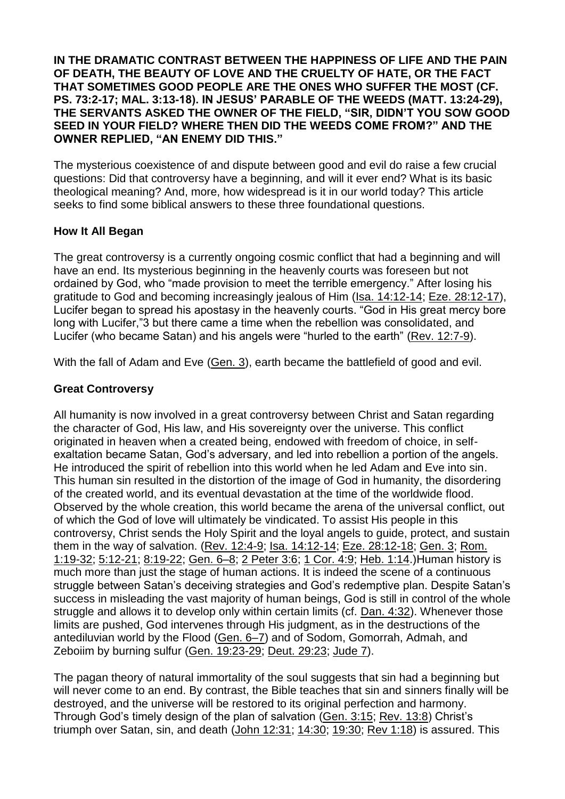**IN THE DRAMATIC CONTRAST BETWEEN THE HAPPINESS OF LIFE AND THE PAIN OF DEATH, THE BEAUTY OF LOVE AND THE CRUELTY OF HATE, OR THE FACT THAT SOMETIMES GOOD PEOPLE ARE THE ONES WHO SUFFER THE MOST (CF. PS. 73:2-17; MAL. 3:13-18). IN JESUS' PARABLE OF THE WEEDS (MATT. 13:24-29), THE SERVANTS ASKED THE OWNER OF THE FIELD, "SIR, DIDN'T YOU SOW GOOD SEED IN YOUR FIELD? WHERE THEN DID THE WEEDS COME FROM?" AND THE OWNER REPLIED, "AN ENEMY DID THIS."**

The mysterious coexistence of and dispute between good and evil do raise a few crucial questions: Did that controversy have a beginning, and will it ever end? What is its basic theological meaning? And, more, how widespread is it in our world today? This article seeks to find some biblical answers to these three foundational questions.

#### **How It All Began**

The great controversy is a currently ongoing cosmic conflict that had a beginning and will have an end. Its mysterious beginning in the heavenly courts was foreseen but not ordained by God, who "made provision to meet the terrible emergency." After losing his gratitude to God and becoming increasingly jealous of Him (Isa. [14:12-14;](https://biblia.com/bible/nkjv/Isa.%2014.12-14) Eze. [28:12-17\)](https://biblia.com/bible/nkjv/Ezek.%2028.12-17), Lucifer began to spread his apostasy in the heavenly courts. "God in His great mercy bore long with Lucifer,"3 but there came a time when the rebellion was consolidated, and Lucifer (who became Satan) and his angels were "hurled to the earth" (Rev. [12:7-9\)](https://biblia.com/bible/nkjv/Rev.%2012.7-9).

With the fall of Adam and Eve [\(Gen.](https://biblia.com/bible/nkjv/Gen.%203) 3), earth became the battlefield of good and evil.

### **Great Controversy**

All humanity is now involved in a great controversy between Christ and Satan regarding the character of God, His law, and His sovereignty over the universe. This conflict originated in heaven when a created being, endowed with freedom of choice, in selfexaltation became Satan, God's adversary, and led into rebellion a portion of the angels. He introduced the spirit of rebellion into this world when he led Adam and Eve into sin. This human sin resulted in the distortion of the image of God in humanity, the disordering of the created world, and its eventual devastation at the time of the worldwide flood. Observed by the whole creation, this world became the arena of the universal conflict, out of which the God of love will ultimately be vindicated. To assist His people in this controversy, Christ sends the Holy Spirit and the loyal angels to guide, protect, and sustain them in the way of salvation. (Rev. [12:4-9;](https://biblia.com/bible/nkjv/Rev.%2012.4-9) Isa. [14:12-14;](https://biblia.com/bible/nkjv/Isa.%2014.12-14) Eze. [28:12-18;](https://biblia.com/bible/nkjv/Ezek.%2028.12-18) [Gen.](https://biblia.com/bible/nkjv/Gen.%203) 3; [Rom.](https://biblia.com/bible/nkjv/Rom.%201.19-32) [1:19-32;](https://biblia.com/bible/nkjv/Rom.%201.19-32) [5:12-21;](https://biblia.com/bible/nkjv/Rom%205.12-21) [8:19-22;](https://biblia.com/bible/nkjv/Rom%208.19-22) [Gen.](https://biblia.com/bible/nkjv/Gen.%206%E2%80%938) 6–8; 2 [Peter](https://biblia.com/bible/nkjv/2%20Pet%203.6) 3:6; 1 [Cor.](https://biblia.com/bible/nkjv/1%20Cor.%204.9) 4:9; Heb. [1:14.](https://biblia.com/bible/nkjv/Heb.%201.14))Human history is much more than just the stage of human actions. It is indeed the scene of a continuous struggle between Satan's deceiving strategies and God's redemptive plan. Despite Satan's success in misleading the vast majority of human beings, God is still in control of the whole struggle and allows it to develop only within certain limits (cf. [Dan.](https://biblia.com/bible/nkjv/Dan.%204.32) 4:32). Whenever those limits are pushed, God intervenes through His judgment, as in the destructions of the antediluvian world by the Flood [\(Gen.](https://biblia.com/bible/nkjv/Gen.%206%E2%80%937) 6–7) and of Sodom, Gomorrah, Admah, and Zeboiim by burning sulfur (Gen. [19:23-29;](https://biblia.com/bible/nkjv/Gen.%2019.23-29) Deut. [29:23;](https://biblia.com/bible/nkjv/Deut.%2029.23) [Jude](https://biblia.com/bible/nkjv/Jude%207) 7).

The pagan theory of natural immortality of the soul suggests that sin had a beginning but will never come to an end. By contrast, the Bible teaches that sin and sinners finally will be destroyed, and the universe will be restored to its original perfection and harmony. Through God's timely design of the plan of salvation [\(Gen.](https://biblia.com/bible/nkjv/Gen.%203.15) 3:15; Rev. [13:8\)](https://biblia.com/bible/nkjv/Rev.%2013.8) Christ's triumph over Satan, sin, and death  $(John 12:31; 14:30; 19:30; Rev 1:18)$  $(John 12:31; 14:30; 19:30; Rev 1:18)$  $(John 12:31; 14:30; 19:30; Rev 1:18)$  $(John 12:31; 14:30; 19:30; Rev 1:18)$  $(John 12:31; 14:30; 19:30; Rev 1:18)$  $(John 12:31; 14:30; 19:30; Rev 1:18)$  $(John 12:31; 14:30; 19:30; Rev 1:18)$  $(John 12:31; 14:30; 19:30; Rev 1:18)$  is assured. This